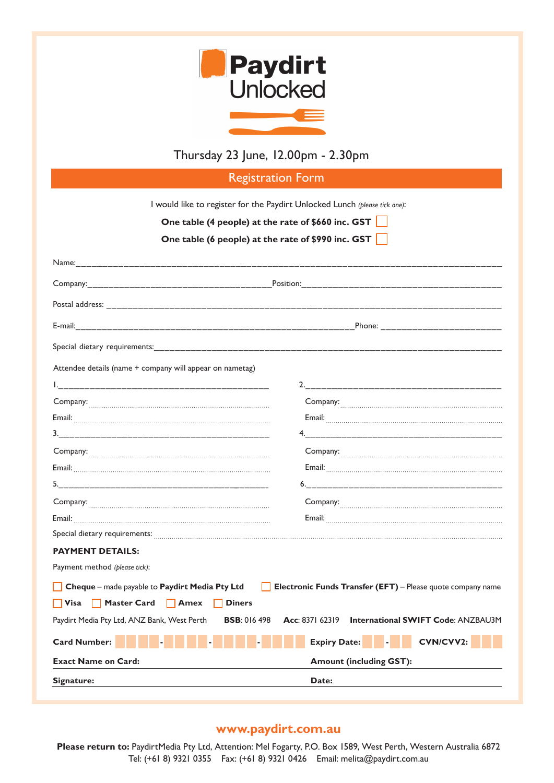

## Thursday 23 June, 12.00pm - 2.30pm I would like to register for the **Paydirt Unlocked Lunch** *(please tick)*: Thursday 23 June, 12.00pm - 2.30pm

Thursday 10 February, 12.00pm - 2.30pm

Thursday 10 February, 12.000pm - 2.30pm - 2.30pm - 2.30pm - 2.30pm - 2.30pm - 2.30pm - 2.30pm - 2.30pm - 2.30pm

**Experimental Service Community Progress Programs and Service Community Programs and Service Community Programs** Name:\_\_\_\_\_\_\_\_\_\_\_\_\_\_\_\_\_\_\_\_\_\_\_\_\_\_\_\_\_\_\_\_\_\_\_\_\_\_\_\_\_\_\_\_\_\_\_\_\_\_\_\_\_\_\_\_\_\_\_\_\_\_\_\_\_\_\_\_\_\_\_\_\_\_\_\_\_\_\_\_ Company:\_\_\_\_\_\_\_\_\_\_\_\_\_\_\_\_\_\_\_\_\_\_\_\_\_\_\_\_\_\_\_\_\_\_\_Position:\_\_\_\_\_\_\_\_\_\_\_\_\_\_\_\_\_\_\_\_\_\_\_\_\_\_\_\_\_\_\_\_\_\_\_\_\_\_ Postal address: \_\_\_\_\_\_\_\_\_\_\_\_\_\_\_\_\_\_\_\_\_\_\_\_\_\_\_\_\_\_\_\_\_\_\_\_\_\_\_\_\_\_\_\_\_\_\_\_\_\_\_\_\_\_\_\_\_\_\_\_\_\_\_\_\_\_\_\_\_\_\_\_\_\_\_ Name:\_\_\_\_\_\_\_\_\_\_\_\_\_\_\_\_\_\_\_\_\_\_\_\_\_\_\_\_\_\_\_\_\_\_\_\_\_\_\_\_\_\_\_\_\_\_\_\_\_\_\_\_\_\_\_\_\_\_\_\_\_\_\_\_\_\_\_\_\_\_\_\_\_\_\_\_\_\_\_\_ Name:\_\_\_\_\_\_\_\_\_\_\_\_\_\_\_\_\_\_\_\_\_\_\_\_\_\_\_\_\_\_\_\_\_\_\_\_\_\_\_\_\_\_\_\_\_\_\_\_\_\_\_\_\_\_\_\_\_\_\_\_\_\_\_\_\_\_\_\_\_\_\_\_\_\_\_\_\_\_\_\_ Name:\_\_\_\_\_\_\_\_\_\_\_\_\_\_\_\_\_\_\_\_\_\_\_\_\_\_\_\_\_\_\_\_\_\_\_\_\_\_\_\_\_\_\_\_\_\_\_\_\_\_\_\_\_\_\_\_\_\_\_\_\_\_\_\_\_\_\_\_\_\_\_\_\_\_\_\_\_\_\_\_ Postal address: \_\_\_\_\_\_\_\_\_\_\_\_\_\_\_\_\_\_\_\_\_\_\_\_\_\_\_\_\_\_\_\_\_\_\_\_\_\_\_\_\_\_\_\_\_\_\_\_\_\_\_\_\_\_\_\_\_\_\_\_\_\_\_\_\_\_\_\_\_\_\_\_\_\_\_ E-mail:\_\_\_\_\_\_\_\_\_\_\_\_\_\_\_\_\_\_\_\_\_\_\_\_\_\_\_\_\_\_\_\_\_\_\_\_\_\_\_\_\_\_\_\_\_\_\_\_\_\_\_\_\_\_\_\_\_\_\_\_\_\_\_\_\_\_\_\_\_\_\_\_\_\_\_\_\_\_\_\_ Company:\_\_\_\_\_\_\_\_\_\_\_\_\_\_\_\_\_\_\_\_\_\_\_\_\_\_\_\_\_\_\_\_\_\_\_\_\_\_\_\_\_\_\_\_\_\_\_\_\_\_\_\_\_\_\_\_\_\_\_\_\_\_\_\_\_\_\_\_\_\_\_\_\_\_\_\_\_\_ Company:\_\_\_\_\_\_\_\_\_\_\_\_\_\_\_\_\_\_\_\_\_\_\_\_\_\_\_\_\_\_\_\_\_\_\_\_\_\_\_\_\_\_\_\_\_\_\_\_\_\_\_\_\_\_\_\_\_\_\_\_\_\_\_\_\_\_\_\_\_\_\_\_\_\_\_\_\_\_ Company:\_\_\_\_\_\_\_\_\_\_\_\_\_\_\_\_\_\_\_\_\_\_\_\_\_\_\_\_\_\_\_\_\_\_\_\_\_\_\_\_\_\_\_\_\_\_\_\_\_\_\_\_\_\_\_\_\_\_\_\_\_\_\_\_\_\_\_\_\_\_\_\_\_\_\_\_\_\_ E-mail:\_\_\_\_\_\_\_\_\_\_\_\_\_\_\_\_\_\_\_\_\_\_\_\_\_\_\_\_\_\_\_\_\_\_\_\_\_\_\_\_\_\_\_\_\_\_\_\_\_\_\_\_\_Phone: \_\_\_\_\_\_\_\_\_\_\_\_\_\_\_\_\_\_\_\_\_\_\_ Phone:\_\_\_\_\_\_\_\_\_\_\_\_\_\_\_\_\_\_\_\_\_\_\_\_\_\_\_\_\_\_\_\_\_\_\_\_\_\_\_\_\_\_\_\_\_\_\_\_\_\_\_\_\_\_\_\_\_\_\_\_\_\_\_\_\_\_\_\_\_\_\_\_\_\_\_\_\_\_\_\_\_\_ Phone:\_\_\_\_\_\_\_\_\_\_\_\_\_\_\_\_\_\_\_\_\_\_\_\_\_\_\_\_\_\_\_\_\_\_\_\_\_\_\_\_\_\_\_\_\_\_\_\_\_\_\_\_\_\_\_\_\_\_\_\_\_\_\_\_\_\_\_\_\_\_\_\_\_\_\_\_\_\_\_\_\_\_ Position:\_\_\_\_\_\_\_\_\_\_\_\_\_\_\_\_\_\_\_\_\_\_\_\_\_\_\_\_\_\_\_\_\_\_\_\_\_\_\_\_\_\_\_\_\_\_\_\_\_\_\_\_\_\_\_\_\_\_\_\_\_\_\_\_\_\_\_\_\_\_\_\_\_\_\_\_\_\_\_ Position:\_\_\_\_\_\_\_\_\_\_\_\_\_\_\_\_\_\_\_\_\_\_\_\_\_\_\_\_\_\_\_\_\_\_\_\_\_\_\_\_\_\_\_\_\_\_\_\_\_\_\_\_\_\_\_\_\_\_\_\_\_\_\_\_\_\_\_\_\_\_\_\_\_\_\_\_\_\_\_ Position:\_\_\_\_\_\_\_\_\_\_\_\_\_\_\_\_\_\_\_\_\_\_\_\_\_\_\_\_\_\_\_\_\_\_\_\_\_\_\_\_\_\_\_\_\_\_\_\_\_\_\_\_\_\_\_\_\_\_\_\_\_\_\_\_\_\_\_\_\_\_\_\_\_\_\_\_\_\_\_ Special dietary requirements:\_\_\_\_\_\_\_\_\_\_\_\_\_\_\_\_\_\_\_\_\_\_\_\_\_\_\_\_\_\_\_\_\_\_\_\_\_\_\_\_\_\_\_\_\_\_\_\_\_\_\_\_\_\_\_\_\_\_\_\_\_\_\_\_\_\_ Postal address: \_\_\_\_\_\_\_\_\_\_\_\_\_\_\_\_\_\_\_\_\_\_\_\_\_\_\_\_\_\_\_\_\_\_\_\_\_\_\_\_\_\_\_\_\_\_\_\_\_\_\_\_\_\_\_\_\_\_\_\_\_\_\_\_\_\_\_\_\_\_\_\_\_\_\_ Postal address: \_\_\_\_\_\_\_\_\_\_\_\_\_\_\_\_\_\_\_\_\_\_\_\_\_\_\_\_\_\_\_\_\_\_\_\_\_\_\_\_\_\_\_\_\_\_\_\_\_\_\_\_\_\_\_\_\_\_\_\_\_\_\_\_\_\_\_\_\_\_\_\_\_\_\_ Phone:\_\_\_\_\_\_\_\_\_\_\_\_\_\_\_\_\_\_\_\_\_\_\_\_\_\_\_\_\_\_\_\_\_\_\_\_\_\_\_\_\_\_\_\_\_\_\_\_\_\_\_\_\_\_\_\_\_\_\_\_\_\_\_\_\_\_\_\_\_\_\_\_\_\_\_\_\_\_\_\_\_\_ Company:\_\_\_\_\_\_\_\_\_\_\_\_\_\_\_\_\_\_\_\_\_\_\_\_\_\_\_\_\_\_\_\_\_\_\_\_\_\_\_\_\_\_\_\_\_\_\_\_\_\_\_\_\_\_\_\_\_\_\_\_\_\_\_\_\_\_\_\_\_\_\_\_\_\_\_\_\_\_ I would like to register for the Paydirt Unlocked Lunch *(please tick one)*: **Solution Check Check Check Check Check Check Check Check Check Check Check Check Check Check Check Check Check Check Check Check Check Check Check Check Check Check Check Check Check Check Check Check Check Check Check Ch One table (6 people) at the rate of \$990 inc. GST PAYMENT DETAILS:** Payment method (please tick): Cheque – made payable to Paydirt Media Pty Ltd | Electronic Funds Transfer (EFT) – Please quote company name ■ Visa Master Card Amex Diners → New York → New York → New York → New York → New York → New York → New York → New York → New York → New York → New York → New York → New York → New York → New York → New York → New York → N Paydirt Media Pty Ltd, ANZ Bank, West Perth **BSB**: 016 498 **Acc**: 8371 62319 **International SWIFT Code**: ANZBAU3M **Card Number: - - - Expiry Date: - CVN/CVV2: Card Number: Amount Card: Amount (including GST): Expiry Date: || 2 || CVN/CVV2: Exact Name on Card: Amount (including GST): www.paydirt.com.au** Paydirt Media Pty Ltd, ANZ Bank, West Perth **BSB**: 016 498 **Acc**: 8371 62319 **International SWIFT Code**: ANZBAU3M Signature: Date:  $N_{\rm max}$  and the properties are  $N_{\rm max}$  and  $N_{\rm max}$  are determined distribution (procedure  $N_{\rm max}$ ).  $C=\{x_1,\ldots,x_n\}$  and  $C=\{x_1,\ldots,x_n\}$  and  $C=\{x_1,\ldots,x_n\}$  and  $C=\{x_1,\ldots,x_n\}$  and  $C=\{x_1,\ldots,x_n\}$ Attendee details (name + company will appear on nametag) 1.\_\_\_\_\_\_\_\_\_\_\_\_\_\_\_\_\_\_\_\_\_\_\_\_\_\_\_\_\_\_\_\_\_\_\_\_\_\_\_\_ 2.\_\_\_\_\_\_\_\_\_\_\_\_\_\_\_\_\_\_\_\_\_\_\_\_\_\_\_\_\_\_\_\_\_\_\_\_\_ Company: The company: Company: Company: Company: Company: Company: Company: Company: Company: Company: Company: Company: Company:  $Cov$ 3.\_\_\_\_\_\_\_\_\_\_\_\_\_\_\_\_\_\_\_\_\_\_\_\_\_\_\_\_\_\_\_\_\_\_\_\_\_\_\_\_ 4.\_\_\_\_\_\_\_\_\_\_\_\_\_\_\_\_\_\_\_\_\_\_\_\_\_\_\_\_\_\_\_\_\_\_\_\_\_\_ Email: Email: Email: Attendee names for nametags *(if known)*: Email: Example of Company: Company: Company: Company: Company: Company: Company: Company: Company: Company: Company: Company: Company: Company: Company: Company: Company: Company: Company: Company: Company: Company: Company: Comp  **Please return to:** PaydirtMedia Pty Ltd, Attention: Mel Fogarty, P.O. Box 1589, West Perth, Western Australia 6872  $\blacksquare$   $\blacksquare$   $\blacksquare$   $\blacksquare$   $\blacksquare$   $\blacksquare$ **PAYMENT DETAILS: Cheque** – made payable to **Paydirt Media Pty Ltd Electronic Funds Transfer (EFT)** – Please quote company name Email:  **Visa Master Card Amex Diners Cheque** – made payable to **Paydirt Media Pty Ltd Electronic Funds Transfer (EFT)** – Please quote company name **Cheque** – made payable to **Paydirt Media Pty Ltd Electronic Funds Transfer (EFT)** – Please quote company name Paydirt Media Pty Ltd, ANZ Bank, West Perth **BSB**: 016 498 **Acc**: 8371 62319 **International SWIFT Code**: ANZBAU3M  $C=\{C_1,\ldots,C_n\}$  and  $C_2=\{C_1,\ldots,C_n\}$  and  $C_3=\{C_1,\ldots,C_n\}$  and  $C_4=\{C_1,\ldots,C_n\}$ Position:\_\_\_\_\_\_\_\_\_\_\_\_\_\_\_\_\_\_\_\_\_\_\_\_\_\_\_\_\_\_\_\_\_\_\_\_\_\_\_\_\_\_\_\_\_\_\_\_\_\_\_\_\_\_\_\_\_\_\_\_\_\_\_\_\_\_\_\_\_\_\_\_\_\_\_\_\_\_\_  $\sim$  . The state address is a distribution of the state and  $\sim$  . The state address is a distribution of the state  $\sim$ E-mail:\_\_\_\_\_\_\_\_\_\_\_\_\_\_\_\_\_\_\_\_\_\_\_\_\_\_\_\_\_\_\_\_\_\_\_\_\_\_\_\_\_\_\_\_\_\_\_\_\_\_\_\_\_\_\_\_\_\_\_\_\_\_\_\_\_\_\_\_\_\_\_\_\_\_\_\_\_\_\_\_ Attendee names for nametags *(if known)*: 3.\_\_\_\_\_\_\_\_\_\_\_\_\_\_\_\_\_\_\_\_\_\_\_\_\_\_\_\_\_\_\_\_\_\_\_\_\_\_\_\_ 4.\_\_\_\_\_\_\_\_\_\_\_\_\_\_\_\_\_\_\_\_\_\_\_\_\_\_\_\_\_\_\_\_\_\_\_\_\_\_ Special dietary requirements:\_\_\_\_\_\_\_\_\_\_\_\_\_\_\_\_\_\_\_\_\_\_\_\_\_\_\_\_\_\_\_\_\_\_\_\_\_\_\_\_\_\_\_\_\_\_\_\_\_\_\_\_\_\_\_\_\_\_\_\_\_\_\_\_\_\_\_\_\_\_\_\_\_\_\_\_ Special dietary requirements:\_\_\_\_\_\_\_\_\_\_\_\_\_\_\_\_\_\_\_\_\_\_\_\_\_\_\_\_\_\_\_\_\_\_\_\_\_\_\_\_\_\_\_\_\_\_\_\_\_\_\_\_\_\_\_\_\_\_\_\_\_\_\_\_\_\_\_\_\_\_\_\_\_\_\_\_ Email: Email: **I would like to register for the Paydirt Unlocked Lunch** *(please tick one)*: **I** would like to register for the Paydirt Unlocked Lunch *(please tick one)*: **www.paydirt.com.au <u><b>Please return to: Attention: Media Pty Ltd, Attention: Mel Fogarty, P.O. Box 1589, West Perth, West Perth, West**</u> Payment method *(please tick)*: Payment method *(please tick)*: Email: Email: 1.\_\_\_\_\_\_\_\_\_\_\_\_\_\_\_\_\_\_\_\_\_\_\_\_\_\_\_\_\_\_\_\_\_\_\_\_\_\_\_\_ 2.\_\_\_\_\_\_\_\_\_\_\_\_\_\_\_\_\_\_\_\_\_\_\_\_\_\_\_\_\_\_\_\_\_\_\_\_\_ Company: Company: Paydirt Media Pty Ltd, ANZ Bank, West Perth **BSB**: 016 498 **Acc**: 8371 623 One table (o people) at the rate of \$770 file. GST Position:\_\_\_\_\_\_\_\_\_\_\_\_\_\_\_\_\_\_\_\_\_\_\_\_\_\_\_\_\_\_\_\_\_\_\_\_\_\_\_\_\_\_\_\_\_\_\_\_\_\_\_\_\_\_\_\_\_\_\_\_\_\_\_\_\_\_\_\_\_\_\_\_\_\_\_\_\_\_\_ Attendee names for nametags *(if known)*: 3.\_\_\_\_\_\_\_\_\_\_\_\_\_\_\_\_\_\_\_\_\_\_\_\_\_\_\_\_\_\_\_\_\_\_\_\_\_\_\_\_ 4.\_\_\_\_\_\_\_\_\_\_\_\_\_\_\_\_\_\_\_\_\_\_\_\_\_\_\_\_\_\_\_\_\_\_\_\_\_\_  **One table (4 people) at the rate of \$660 inc. GST www.paydirt.com.com.com.com.com.com Please return to:** Paydirtmedia Pty Ltd, Attention: Media Paydirtmedia Pty Ltd, Attention: Media Pty Ltd, Attention: Media 6872, West Perth, Western Australia 6872, West Perth, West Perth, West Perth, Western Australia 68 **PAYMENT DETAILS:** 2.\_\_\_\_\_\_\_\_\_\_\_\_\_\_\_\_\_\_\_\_\_\_\_\_\_\_\_\_\_\_\_\_\_\_\_\_\_\_\_\_ 5.\_\_\_\_\_\_\_\_\_\_\_\_\_\_\_\_\_\_\_\_\_\_\_\_\_\_\_\_\_\_\_\_\_\_\_\_\_\_ 2.\_\_\_\_\_\_\_\_\_\_\_\_\_\_\_\_\_\_\_\_\_\_\_\_\_\_\_\_\_\_\_\_\_\_\_\_\_\_\_\_ 5.\_\_\_\_\_\_\_\_\_\_\_\_\_\_\_\_\_\_\_\_\_\_\_\_\_\_\_\_\_\_\_\_\_\_\_\_\_\_ 3.\_\_\_\_\_\_\_\_\_\_\_\_\_\_\_\_\_\_\_\_\_\_\_\_\_\_\_\_\_\_\_\_\_\_\_\_\_\_\_\_ 4.\_\_\_\_\_\_\_\_\_\_\_\_\_\_\_\_\_\_\_\_\_\_\_\_\_\_\_\_\_\_\_\_\_\_\_\_\_\_ 3.\_\_\_\_\_\_\_\_\_\_\_\_\_\_\_\_\_\_\_\_\_\_\_\_\_\_\_\_\_\_\_\_\_\_\_\_\_\_\_\_ 6.\_\_\_\_\_\_\_\_\_\_\_\_\_\_\_\_\_\_\_\_\_\_\_\_\_\_\_\_\_\_\_\_\_\_\_\_\_ Attendee names for nametags *(if known)*:  **Visa Master Card Amex Diners PAYMENT DETAILS: PAYMENT DETAILS:** 3.\_\_\_\_\_\_\_\_\_\_\_\_\_\_\_\_\_\_\_\_\_\_\_\_\_\_\_\_\_\_\_\_\_\_\_\_\_\_\_\_ 4.\_\_\_\_\_\_\_\_\_\_\_\_\_\_\_\_\_\_\_\_\_\_\_\_\_\_\_\_\_\_\_\_\_\_\_\_\_\_ Special dietary requirements:Phone:\_\_\_\_\_\_\_\_\_\_\_\_\_\_\_\_\_\_\_\_\_\_\_\_\_\_\_\_\_\_\_\_\_\_\_\_\_\_\_\_\_\_\_\_\_\_\_\_\_\_\_\_\_\_\_\_\_\_\_\_\_\_\_\_\_\_\_\_\_\_\_\_\_\_\_\_\_\_\_\_\_\_ Special dietary requirements:  $\mathcal{L}_\text{max}$  and  $\mathcal{L}_\text{max}$  and  $\mathcal{L}_\text{max}$ 3.\_\_\_\_\_\_\_\_\_\_\_\_\_\_\_\_\_\_\_\_\_\_\_\_\_\_\_\_\_\_\_\_\_\_\_\_\_\_\_\_ 6.\_\_\_\_\_\_\_\_\_\_\_\_\_\_\_\_\_\_\_\_\_\_\_\_\_\_\_\_\_\_\_\_\_\_\_\_\_ 3.\_\_\_\_\_\_\_\_\_\_\_\_\_\_\_\_\_\_\_\_\_\_\_\_\_\_\_\_\_\_\_\_\_\_\_\_\_\_\_\_ 6.\_\_\_\_\_\_\_\_\_\_\_\_\_\_\_\_\_\_\_\_\_\_\_\_\_\_\_\_\_\_\_\_\_\_\_\_\_ Special dietary requirements:\_\_\_\_\_\_\_\_\_\_\_\_\_\_\_\_\_\_\_\_\_\_\_\_\_\_\_\_\_\_\_\_\_\_\_\_\_\_\_\_\_\_\_\_\_\_\_\_\_\_\_\_\_\_\_\_\_\_\_\_\_\_\_\_\_\_\_\_\_\_\_\_\_\_\_\_ Email: I would like to register for the **Paydirt Unlocked Lunch** *(please tick)*: Paydirt Media Pty Ltd, ANZ Bank, West Perth **BSB**: 016 498 **Acc**: 8371 62319 **International SWIFT Code**: ANZBAU3M **Card Number:** Exact Name on Card:  $\overline{C}$  **CV Exact Name on Cardinal Cardinal Cardinal Cardinal Cardinal Cardinal Cardinal Cardinal Cardinal Cardinal Cardinal Cardinal Cardinal Cardinal Cardinal Cardinal Cardinal Cardinal Cardinal Cardinal Cardinal Cardinal Cardinal** Pan Pacific, Perth Phone: 2010 - Phone: 2010 - Phone: 2010 - Phone: 2010 - Phone: 2010 - Phone: 2010 - Phone: 2010 - Phone: 2010 Special dietary requirements:\_\_\_\_\_\_\_\_\_\_\_\_\_\_\_\_\_\_\_\_\_\_\_\_\_\_\_\_\_\_\_\_\_\_\_\_\_\_\_\_\_\_\_\_\_\_\_\_\_\_\_\_\_\_\_\_\_\_\_\_\_\_\_\_\_\_ I would like to register for the **Paydirt Unlocked Lunch** *(please tick)*: Paydirt Media Pty Ltd, ANZ Bank, West Perth **BSB**: 016 498 **Acc**: 8371 62319 **International SWIFT Code**: ANZBAU3M Example on Card: Amount (including GST): **Card: Amount (including GST):**  $\frac{1}{2}$ Pan Pacific, Perth Email: 1.\_\_\_\_\_\_\_\_\_\_\_\_\_\_\_\_\_\_\_\_\_\_\_\_\_\_\_\_\_\_\_\_\_\_\_\_\_\_\_\_ 4.\_\_\_\_\_\_\_\_\_\_\_\_\_\_\_\_\_\_\_\_\_\_\_\_\_\_\_\_\_\_\_\_\_\_\_\_\_ E-mail:\_\_\_\_\_\_\_\_\_\_\_\_\_\_\_\_\_\_\_\_\_\_\_\_\_\_\_\_\_\_\_\_\_\_\_\_\_\_\_\_\_\_\_\_\_\_\_\_\_\_\_\_\_\_\_\_\_\_\_\_\_\_\_\_\_\_\_\_\_\_\_\_\_\_\_\_\_\_\_\_  $P$  address:  $P$  and  $P$  address:  $\mathcal{P}$  and  $\mathcal{P}$  and  $\mathcal{P}$  and  $\mathcal{P}$  and  $\mathcal{P}$  and  $\mathcal{P}$  and  $\mathcal{P}$  and  $\mathcal{P}$  and  $\mathcal{P}$  and  $\mathcal{P}$  and  $\mathcal{P}$  and  $\mathcal{P}$  and  $\mathcal{P}$  and  $\mathcal{P}$  and  $\mathcal{$  $\Box$ **Card Number: - - - Expiry Date: - CVN/CVV2: Signature: Date:** Email: Company:\_\_\_\_\_\_\_\_\_\_\_\_\_\_\_\_\_\_\_\_\_\_\_\_\_\_\_\_\_\_\_\_\_\_\_\_\_\_\_\_\_\_\_\_\_\_\_\_\_\_\_\_\_\_\_\_\_\_\_\_\_\_\_\_\_\_\_\_\_\_\_\_\_\_\_\_\_\_ المستقل المستقل المستقل المستقل المستقل المستقل المستقل المستقل المستقل المستقل المستقل المستقل المستقل المستق<br>المستقل المستقل المستقل المستقل المستقل المستقل المستقل المستقل المستقل المستقل المستقل المستقل المستقل المستق Postal address: \_\_\_\_\_\_\_\_\_\_\_\_\_\_\_\_\_\_\_\_\_\_\_\_\_\_\_\_\_\_\_\_\_\_\_\_\_\_\_\_\_\_\_\_\_\_\_\_\_\_\_\_\_\_\_\_\_\_\_\_\_\_\_\_\_\_\_\_\_\_\_\_\_\_\_ Smail:<br>
Smail:<br>
S. Company:<br>
Company:<br>
Company:<br>
S. Company:<br>
Company:<br>
Company:<br>
Company:<br>
Company:<br>
Company:<br>
Email:<br>
Email:<br>
Email:<br>
Email:<br>
Email:<br>
Email:<br>
Email:<br>
Company:<br>
Company:<br>
Company:<br>
Email: **Solution Conex in the table (4 people) at the rate of \$660 inc. GST** PAYMENT DETAILS: E-mail:\_\_\_\_\_\_\_\_\_\_\_\_\_\_\_\_\_\_\_\_\_\_\_\_\_\_\_\_\_\_\_\_\_\_\_\_\_\_\_\_\_\_\_\_\_\_\_\_\_\_\_\_\_\_\_\_\_\_\_\_\_\_\_\_\_\_\_\_\_\_\_\_\_\_\_\_\_\_\_\_ Name:\_\_\_\_\_\_\_\_\_\_\_\_\_\_\_\_\_\_\_\_\_\_\_\_\_\_\_\_\_\_\_\_\_\_\_\_\_\_\_\_\_\_\_\_\_\_\_\_\_\_\_\_\_\_\_\_\_\_\_\_\_\_\_\_\_\_\_\_\_\_\_\_\_\_\_\_\_\_\_\_ Attendee details (name + company will appear on nametag) Postal address: \_\_\_\_\_\_\_\_\_\_\_\_\_\_\_\_\_\_\_\_\_\_\_\_\_\_\_\_\_\_\_\_\_\_\_\_\_\_\_\_\_\_\_\_\_\_\_\_\_\_\_\_\_\_\_\_\_\_\_\_\_\_\_\_\_\_\_\_\_\_\_\_\_\_\_  $P_A$ .  $\mathcal{L}$ I would like to register for the **Paydirt Unlocked Lunch** *(please tick)*:  **One table (4 people) at the rate of**  $\mathcal{A}$  **people) at the rate of**  $\mathcal{A}$  **inc. General state of**  $\mathcal{A}$ **Payment Details:** Payment method *(please tick)*: **Cheque** – made payable to **Paydirt Media Pty Ltd Electronic Funds Transfer (EFT)** – Please quote company name  **Card Number:**  $\blacksquare$  **Diners Card Number: Card Number: - CARD Number: CARD Number:**  $\alpha$ 

## **www.paydirt.com.au Please return to: Attention: Media Paydirt, Com. 311**

میں ہے۔<br>Please return to: PaydirtMedia Pty Ltd, Attention: Mel Fogarty, P.O. Box 1589, West Perth, Western Australia 6872 Tel: (+61 8) 9321 0355 Fax: (+61 8) 9321 0426 Email: melita@paydirt.com.au : Paydirtifiedia Pty Ltd, Attention: Mei Fogarty, P.O. Box 1589, Vvest Perth, Vves  $T_{\rm eff}$  9321  $\pm$  61  $\pm$  61  $\pm$  61  $\pm$  61  $\pm$  61  $\pm$  61  $\pm$  61  $\pm$  61  $\pm$  61  $\pm$  61  $\pm$  61  $\pm$  61  $\pm$  61  $\pm$  61  $\pm$  61  $\pm$  61  $\pm$  61  $\pm$  61  $\pm$  61  $\pm$  61  $\pm$  61  $\pm$  61  $\pm$  61  $\pm$  61  $\pm$  61  $\pm$  61